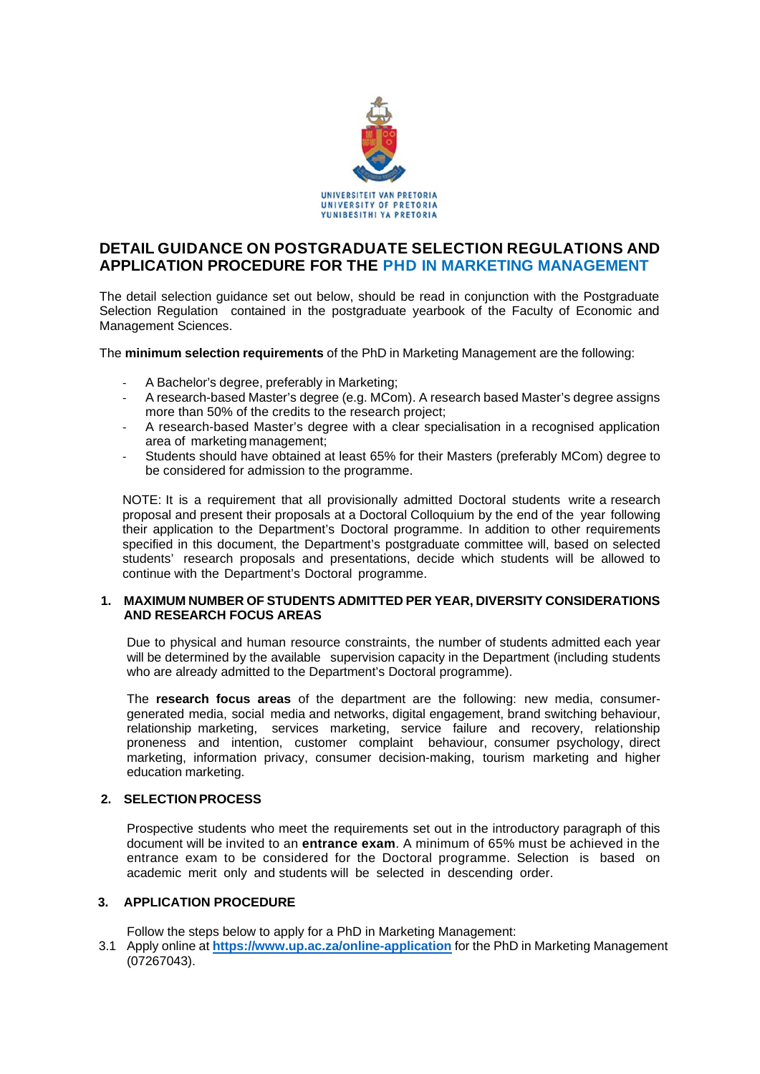

# **DETAIL GUIDANCE ON POSTGRADUATE SELECTION REGULATIONS AND APPLICATION PROCEDURE FOR THE PHD IN MARKETING MANAGEMENT**

The detail selection guidance set out below, should be read in conjunction with the Postgraduate Selection Regulation contained in the postgraduate yearbook of the Faculty of Economic and Management Sciences.

The **minimum selection requirements** of the PhD in Marketing Management are the following:

- ‐ A Bachelor's degree, preferably in Marketing;
- ‐ A research-based Master's degree (e.g. MCom). A research based Master's degree assigns more than 50% of the credits to the research project;
- ‐ A research-based Master's degree with a clear specialisation in a recognised application area of marketing management;
- ‐ Students should have obtained at least 65% for their Masters (preferably MCom) degree to be considered for admission to the programme.

NOTE: It is a requirement that all provisionally admitted Doctoral students write a research proposal and present their proposals at a Doctoral Colloquium by the end of the year following their application to the Department's Doctoral programme. In addition to other requirements specified in this document, the Department's postgraduate committee will, based on selected students' research proposals and presentations, decide which students will be allowed to continue with the Department's Doctoral programme.

### **1. MAXIMUM NUMBER OF STUDENTS ADMITTED PER YEAR, DIVERSITY CONSIDERATIONS AND RESEARCH FOCUS AREAS**

Due to physical and human resource constraints, the number of students admitted each year will be determined by the available supervision capacity in the Department (including students who are already admitted to the Department's Doctoral programme).

The **research focus areas** of the department are the following: new media, consumergenerated media, social media and networks, digital engagement, brand switching behaviour, relationship marketing, services marketing, service failure and recovery, relationship proneness and intention, customer complaint behaviour, consumer psychology, direct marketing, information privacy, consumer decision-making, tourism marketing and higher education marketing.

# **2. SELECTION PROCESS**

Prospective students who meet the requirements set out in the introductory paragraph of this document will be invited to an **entrance exam**. A minimum of 65% must be achieved in the entrance exam to be considered for the Doctoral programme. Selection is based on academic merit only and students will be selected in descending order.

# **3. APPLICATION PROCEDURE**

Follow the steps below to apply for a PhD in Marketing Management:

3.1 Apply online at **https://www.up.ac.za/online-application** for the PhD in Marketing Management (07267043).